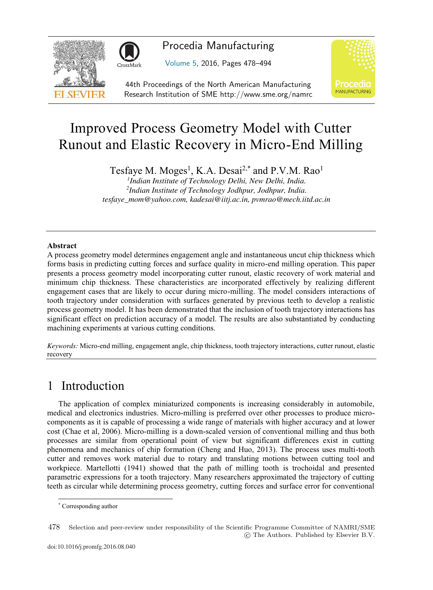



Procedia Manufacturing

Volume 5, 2016, Pages 478–494



44th Proceedings of the North American Manufacturing Research Institution of SME http://www.sme.org/namrc

# Improved Process Geometry Model with Cutter Runout and Elastic Recovery in Micro-End Milling

Tesfaye M. Moges<sup>1</sup>, K.A. Desai<sup>2,\*</sup> and P.V.M. Rao<sup>1</sup>

*1 Indian Institute of Technology Delhi, New Delhi, India. 2 Indian Institute of Technology Jodhpur, Jodhpur, India. tesfaye\_mom@yahoo.com, kadesai@iitj.ac.in, pvmrao@mech.iitd.ac.in*

#### **Abstract**

A process geometry model determines engagement angle and instantaneous uncut chip thickness which forms basis in predicting cutting forces and surface quality in micro-end milling operation. This paper presents a process geometry model incorporating cutter runout, elastic recovery of work material and minimum chip thickness. These characteristics are incorporated effectively by realizing different engagement cases that are likely to occur during micro-milling. The model considers interactions of tooth trajectory under consideration with surfaces generated by previous teeth to develop a realistic process geometry model. It has been demonstrated that the inclusion of tooth trajectory interactions has significant effect on prediction accuracy of a model. The results are also substantiated by conducting machining experiments at various cutting conditions.

*Keywords:* Micro-end milling, engagement angle, chip thickness, tooth trajectory interactions, cutter runout, elastic recovery

# 1 Introduction

The application of complex miniaturized components is increasing considerably in automobile, medical and electronics industries. Micro-milling is preferred over other processes to produce microcomponents as it is capable of processing a wide range of materials with higher accuracy and at lower cost (Chae et al, 2006). Micro-milling is a down-scaled version of conventional milling and thus both processes are similar from operational point of view but significant differences exist in cutting phenomena and mechanics of chip formation (Cheng and Huo, 2013). The process uses multi-tooth cutter and removes work material due to rotary and translating motions between cutting tool and workpiece. Martellotti (1941) showed that the path of milling tooth is trochoidal and presented parametric expressions for a tooth trajectory. Many researchers approximated the trajectory of cutting teeth as circular while determining process geometry, cutting forces and surface error for conventional

<sup>-</sup>\* Corresponding author

<sup>478</sup> Selection and peer-review under responsibility of the Scientific Programme Committee of NAMRI/SME -c The Authors. Published by Elsevier B.V.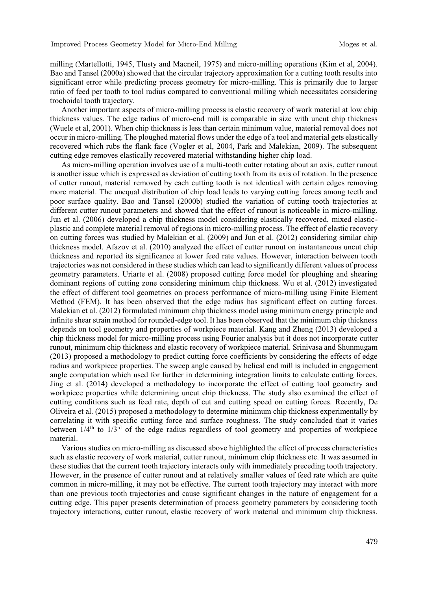milling (Martellotti, 1945, Tlusty and Macneil, 1975) and micro-milling operations (Kim et al, 2004). Bao and Tansel (2000a) showed that the circular trajectory approximation for a cutting tooth results into significant error while predicting process geometry for micro-milling. This is primarily due to larger ratio of feed per tooth to tool radius compared to conventional milling which necessitates considering trochoidal tooth trajectory.

Another important aspects of micro-milling process is elastic recovery of work material at low chip thickness values. The edge radius of micro-end mill is comparable in size with uncut chip thickness (Wuele et al, 2001). When chip thickness is less than certain minimum value, material removal does not occur in micro-milling. The ploughed material flows under the edge of a tool and material gets elastically recovered which rubs the flank face (Vogler et al, 2004, Park and Malekian, 2009). The subsequent cutting edge removes elastically recovered material withstanding higher chip load.

As micro-milling operation involves use of a multi-tooth cutter rotating about an axis, cutter runout is another issue which is expressed as deviation of cutting tooth from its axis of rotation. In the presence of cutter runout, material removed by each cutting tooth is not identical with certain edges removing more material. The unequal distribution of chip load leads to varying cutting forces among teeth and poor surface quality. Bao and Tansel (2000b) studied the variation of cutting tooth trajectories at different cutter runout parameters and showed that the effect of runout is noticeable in micro-milling. Jun et al. (2006) developed a chip thickness model considering elastically recovered, mixed elasticplastic and complete material removal of regions in micro-milling process. The effect of elastic recovery on cutting forces was studied by Malekian et al. (2009) and Jun et al. (2012) considering similar chip thickness model. Afazov et al. (2010) analyzed the effect of cutter runout on instantaneous uncut chip thickness and reported its significance at lower feed rate values. However, interaction between tooth trajectories was not considered in these studies which can lead to significantly different values of process geometry parameters. Uriarte et al. (2008) proposed cutting force model for ploughing and shearing dominant regions of cutting zone considering minimum chip thickness. Wu et al. (2012) investigated the effect of different tool geometries on process performance of micro-milling using Finite Element Method (FEM). It has been observed that the edge radius has significant effect on cutting forces. Malekian et al. (2012) formulated minimum chip thickness model using minimum energy principle and infinite shear strain method for rounded-edge tool. It has been observed that the minimum chip thickness depends on tool geometry and properties of workpiece material. Kang and Zheng (2013) developed a chip thickness model for micro-milling process using Fourier analysis but it does not incorporate cutter runout, minimum chip thickness and elastic recovery of workpiece material. Srinivasa and Shunmugam (2013) proposed a methodology to predict cutting force coefficients by considering the effects of edge radius and workpiece properties. The sweep angle caused by helical end mill is included in engagement angle computation which used for further in determining integration limits to calculate cutting forces. Jing et al. (2014) developed a methodology to incorporate the effect of cutting tool geometry and workpiece properties while determining uncut chip thickness. The study also examined the effect of cutting conditions such as feed rate, depth of cut and cutting speed on cutting forces. Recently, De Oliveira et al. (2015) proposed a methodology to determine minimum chip thickness experimentally by correlating it with specific cutting force and surface roughness. The study concluded that it varies between  $1/4<sup>th</sup>$  to  $1/3<sup>rd</sup>$  of the edge radius regardless of tool geometry and properties of workpiece material.

Various studies on micro-milling as discussed above highlighted the effect of process characteristics such as elastic recovery of work material, cutter runout, minimum chip thickness etc. It was assumed in these studies that the current tooth trajectory interacts only with immediately preceding tooth trajectory. However, in the presence of cutter runout and at relatively smaller values of feed rate which are quite common in micro-milling, it may not be effective. The current tooth trajectory may interact with more than one previous tooth trajectories and cause significant changes in the nature of engagement for a cutting edge. This paper presents determination of process geometry parameters by considering tooth trajectory interactions, cutter runout, elastic recovery of work material and minimum chip thickness.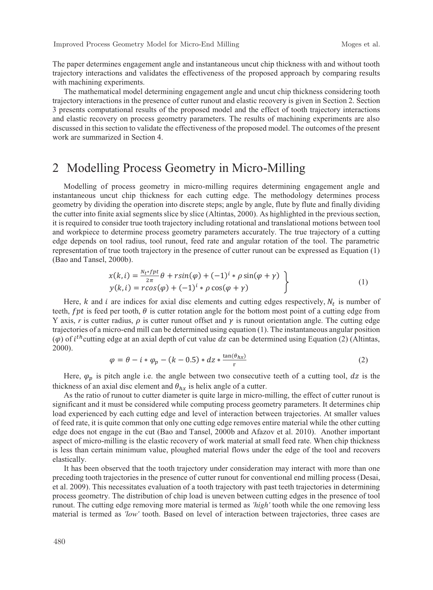Improved Process Geometry Model for Micro-End Milling Moges et al.

The paper determines engagement angle and instantaneous uncut chip thickness with and without tooth trajectory interactions and validates the effectiveness of the proposed approach by comparing results with machining experiments.

The mathematical model determining engagement angle and uncut chip thickness considering tooth trajectory interactions in the presence of cutter runout and elastic recovery is given in Section 2. Section 3 presents computational results of the proposed model and the effect of tooth trajectory interactions and elastic recovery on process geometry parameters. The results of machining experiments are also discussed in this section to validate the effectiveness of the proposed model. The outcomes of the present work are summarized in Section 4.

# 2 Modelling Process Geometry in Micro-Milling

Modelling of process geometry in micro-milling requires determining engagement angle and instantaneous uncut chip thickness for each cutting edge. The methodology determines process geometry by dividing the operation into discrete steps; angle by angle, flute by flute and finally dividing the cutter into finite axial segments slice by slice (Altintas, 2000). As highlighted in the previous section, it is required to consider true tooth trajectory including rotational and translational motions between tool and workpiece to determine process geometry parameters accurately. The true trajectory of a cutting edge depends on tool radius, tool runout, feed rate and angular rotation of the tool. The parametric representation of true tooth trajectory in the presence of cutter runout can be expressed as Equation (1) (Bao and Tansel, 2000b).

$$
x(k,i) = \frac{N_t * fpt}{2\pi} \theta + r \sin(\varphi) + (-1)^i * \rho \sin(\varphi + \gamma)
$$
  
\n
$$
y(k,i) = r \cos(\varphi) + (-1)^i * \rho \cos(\varphi + \gamma)
$$
 (1)

Here,  $k$  and  $i$  are indices for axial disc elements and cutting edges respectively,  $N_t$  is number of teeth,  $fpt$  is feed per tooth,  $\theta$  is cutter rotation angle for the bottom most point of a cutting edge from Y axis, r is cutter radius,  $\rho$  is cutter runout offset and  $\gamma$  is runout orientation angle. The cutting edge trajectories of a micro-end mill can be determined using equation (1). The instantaneous angular position  $(\varphi)$  of *i*<sup>th</sup> cutting edge at an axial depth of cut value dz can be determined using Equation (2) (Altintas, 2000).

$$
\varphi = \theta - i * \varphi_p - (k - 0.5) * dz * \frac{\tan(\theta_{hx})}{r}
$$
 (2)

Here,  $\varphi_p$  is pitch angle i.e. the angle between two consecutive teeth of a cutting tool, dz is the thickness of an axial disc element and  $\theta_{hx}$  is helix angle of a cutter.

As the ratio of runout to cutter diameter is quite large in micro-milling, the effect of cutter runout is significant and it must be considered while computing process geometry parameters. It determines chip load experienced by each cutting edge and level of interaction between trajectories. At smaller values of feed rate, it is quite common that only one cutting edge removes entire material while the other cutting edge does not engage in the cut (Bao and Tansel, 2000b and Afazov et al. 2010). Another important aspect of micro-milling is the elastic recovery of work material at small feed rate. When chip thickness is less than certain minimum value, ploughed material flows under the edge of the tool and recovers elastically.

It has been observed that the tooth trajectory under consideration may interact with more than one preceding tooth trajectories in the presence of cutter runout for conventional end milling process (Desai, et al. 2009). This necessitates evaluation of a tooth trajectory with past teeth trajectories in determining process geometry. The distribution of chip load is uneven between cutting edges in the presence of tool runout. The cutting edge removing more material is termed as *'high'* tooth while the one removing less material is termed as *'low'* tooth. Based on level of interaction between trajectories, three cases are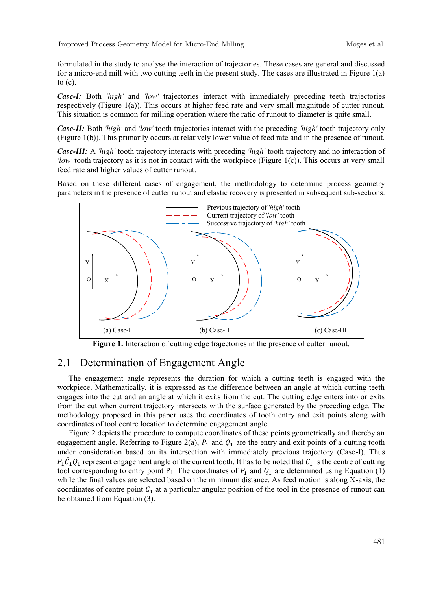formulated in the study to analyse the interaction of trajectories. These cases are general and discussed for a micro-end mill with two cutting teeth in the present study. The cases are illustrated in Figure 1(a) to (c).

*Case-I:* Both *'high'* and *'low'* trajectories interact with immediately preceding teeth trajectories respectively (Figure 1(a)). This occurs at higher feed rate and very small magnitude of cutter runout. This situation is common for milling operation where the ratio of runout to diameter is quite small.

*Case-II:* Both *'high'* and *'low'* tooth trajectories interact with the preceding *'high'* tooth trajectory only (Figure 1(b)). This primarily occurs at relatively lower value of feed rate and in the presence of runout.

*Case-III:* A *'high'* tooth trajectory interacts with preceding *'high'* tooth trajectory and no interaction of *'low'* tooth trajectory as it is not in contact with the workpiece (Figure 1(c)). This occurs at very small feed rate and higher values of cutter runout.

Based on these different cases of engagement, the methodology to determine process geometry parameters in the presence of cutter runout and elastic recovery is presented in subsequent sub-sections.



Figure 1. Interaction of cutting edge trajectories in the presence of cutter runout.

#### 2.1 Determination of Engagement Angle

The engagement angle represents the duration for which a cutting teeth is engaged with the workpiece. Mathematically, it is expressed as the difference between an angle at which cutting teeth engages into the cut and an angle at which it exits from the cut. The cutting edge enters into or exits from the cut when current trajectory intersects with the surface generated by the preceding edge. The methodology proposed in this paper uses the coordinates of tooth entry and exit points along with coordinates of tool centre location to determine engagement angle.

Figure 2 depicts the procedure to compute coordinates of these points geometrically and thereby an engagement angle. Referring to Figure 2(a),  $P_1$  and  $Q_1$  are the entry and exit points of a cutting tooth under consideration based on its intersection with immediately previous trajectory (Case-I). Thus  $P_1 \tilde{C}_1 Q_1$  represent engagement angle of the current tooth. It has to be noted that  $C_1$  is the centre of cutting tool corresponding to entry point P<sub>1</sub>. The coordinates of  $P_1$  and  $Q_1$  are determined using Equation (1) while the final values are selected based on the minimum distance. As feed motion is along X-axis, the coordinates of centre point  $C_1$  at a particular angular position of the tool in the presence of runout can be obtained from Equation (3).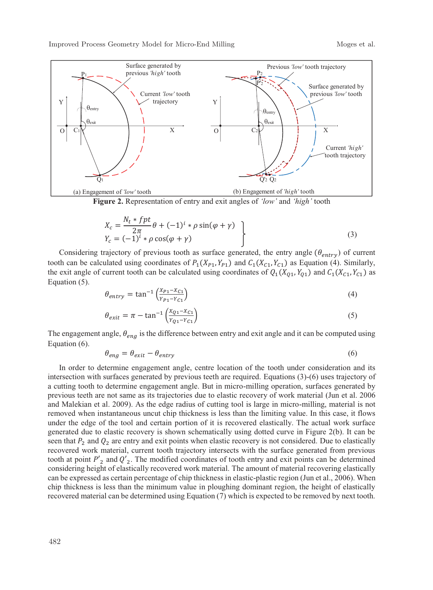

**Figure 2.** Representation of entry and exit angles of *'low'* and *'high'* tooth

$$
X_c = \frac{N_t * fpt}{2\pi} \theta + (-1)^i * \rho \sin(\varphi + \gamma)
$$
  
\n
$$
Y_c = (-1)^i * \rho \cos(\varphi + \gamma)
$$
\n(3)

Considering trajectory of previous tooth as surface generated, the entry angle  $(\theta_{entry})$  of current tooth can be calculated using coordinates of  $P_1(X_{P_1}, Y_{P_1})$  and  $C_1(X_{C_1}, Y_{C_1})$  as Equation (4). Similarly, the exit angle of current tooth can be calculated using coordinates of  $Q_1(X_{Q1}, Y_{Q1})$  and  $C_1(X_{C1}, Y_{C1})$  as Equation (5).

$$
\theta_{entry} = \tan^{-1} \left( \frac{X_{p_1} - X_{C_1}}{Y_{p_1} - Y_{C_1}} \right) \tag{4}
$$

$$
\theta_{exit} = \pi - \tan^{-1} \left( \frac{x_{Q_1} - x_{C_1}}{y_{Q_1} - y_{C_1}} \right) \tag{5}
$$

The engagement angle,  $\theta_{enq}$  is the difference between entry and exit angle and it can be computed using Equation (6).

$$
\theta_{eng} = \theta_{exit} - \theta_{entry} \tag{6}
$$

In order to determine engagement angle, centre location of the tooth under consideration and its intersection with surfaces generated by previous teeth are required. Equations (3)-(6) uses trajectory of a cutting tooth to determine engagement angle. But in micro-milling operation, surfaces generated by previous teeth are not same as its trajectories due to elastic recovery of work material (Jun et al. 2006 and Malekian et al. 2009). As the edge radius of cutting tool is large in micro-milling, material is not removed when instantaneous uncut chip thickness is less than the limiting value. In this case, it flows under the edge of the tool and certain portion of it is recovered elastically. The actual work surface generated due to elastic recovery is shown schematically using dotted curve in Figure 2(b). It can be seen that  $P_2$  and  $Q_2$  are entry and exit points when elastic recovery is not considered. Due to elastically recovered work material, current tooth trajectory intersects with the surface generated from previous tooth at point  $P'_{2}$  and  $Q'_{2}$ . The modified coordinates of tooth entry and exit points can be determined considering height of elastically recovered work material. The amount of material recovering elastically can be expressed as certain percentage of chip thickness in elastic-plastic region (Jun et al., 2006). When chip thickness is less than the minimum value in ploughing dominant region, the height of elastically recovered material can be determined using Equation (7) which is expected to be removed by next tooth.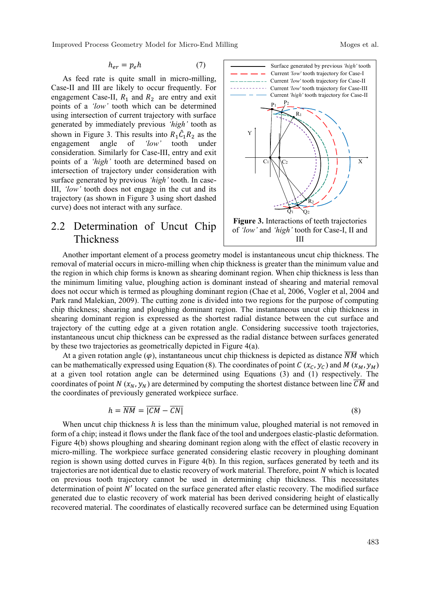Improved Process Geometry Model for Micro-End Milling Moges et al.

$$
h_{er} = p_e h \tag{7}
$$

As feed rate is quite small in micro-milling, Case-II and III are likely to occur frequently. For engagement Case-II,  $R_1$  and  $R_2$  are entry and exit points of a *'low'* tooth which can be determined using intersection of current trajectory with surface generated by immediately previous *'high'* tooth as shown in Figure 3. This results into  $R_1 \ddot{C}_1 R_2$  as the engagement angle of *'low'* tooth under consideration. Similarly for Case-III, entry and exit points of a *'high'* tooth are determined based on intersection of trajectory under consideration with surface generated by previous *'high'* tooth. In case-III, *'low'* tooth does not engage in the cut and its trajectory (as shown in Figure 3 using short dashed curve) does not interact with any surface.

### 2.2 Determination of Uncut Chip Thickness



Another important element of a process geometry model is instantaneous uncut chip thickness. The removal of material occurs in micro-milling when chip thickness is greater than the minimum value and the region in which chip forms is known as shearing dominant region. When chip thickness is less than the minimum limiting value, ploughing action is dominant instead of shearing and material removal does not occur which is termed as ploughing dominant region (Chae et al, 2006, Vogler et al, 2004 and Park rand Malekian, 2009). The cutting zone is divided into two regions for the purpose of computing chip thickness; shearing and ploughing dominant region. The instantaneous uncut chip thickness in shearing dominant region is expressed as the shortest radial distance between the cut surface and trajectory of the cutting edge at a given rotation angle. Considering successive tooth trajectories, instantaneous uncut chip thickness can be expressed as the radial distance between surfaces generated by these two trajectories as geometrically depicted in Figure 4(a).

At a given rotation angle ( $\varphi$ ), instantaneous uncut chip thickness is depicted as distance  $\overline{NM}$  which can be mathematically expressed using Equation (8). The coordinates of point  $C(x_C, y_C)$  and  $M(x_M, y_M)$ at a given tool rotation angle can be determined using Equations (3) and (1) respectively. The coordinates of point  $N(x_N, y_N)$  are determined by computing the shortest distance between line  $\overline{CM}$  and the coordinates of previously generated workpiece surface.

$$
h = \overline{NM} = \overline{|CM} - \overline{CN|}
$$
\n<sup>(8)</sup>

When uncut chip thickness  $h$  is less than the minimum value, ploughed material is not removed in form of a chip; instead it flows under the flank face of the tool and undergoes elastic-plastic deformation. Figure 4(b) shows ploughing and shearing dominant region along with the effect of elastic recovery in micro-milling. The workpiece surface generated considering elastic recovery in ploughing dominant region is shown using dotted curves in Figure 4(b). In this region, surfaces generated by teeth and its trajectories are not identical due to elastic recovery of work material. Therefore, point N which is located on previous tooth trajectory cannot be used in determining chip thickness. This necessitates determination of point  $N'$  located on the surface generated after elastic recovery. The modified surface generated due to elastic recovery of work material has been derived considering height of elastically recovered material. The coordinates of elastically recovered surface can be determined using Equation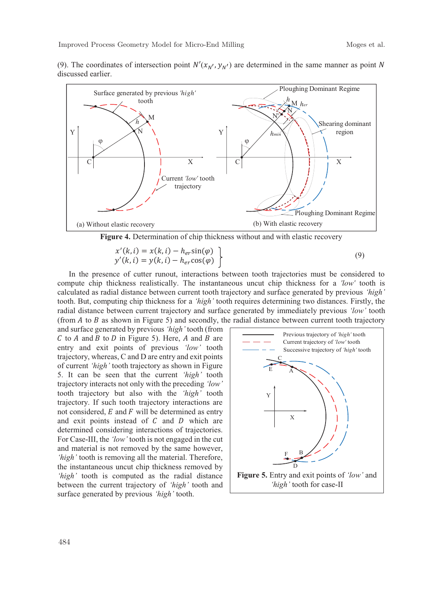

(9). The coordinates of intersection point  $N'(x_{N}, y_{N'})$  are determined in the same manner as point N discussed earlier.



$$
x'(k,i) = x(k,i) - h_{er} \sin(\varphi) y'(k,i) = y(k,i) - h_{er} \cos(\varphi)
$$
\n(9)

In the presence of cutter runout, interactions between tooth trajectories must be considered to compute chip thickness realistically. The instantaneous uncut chip thickness for a *'low'* tooth is calculated as radial distance between current tooth trajectory and surface generated by previous *'high'* tooth. But, computing chip thickness for a *'high'* tooth requires determining two distances. Firstly, the radial distance between current trajectory and surface generated by immediately previous *'low'* tooth (from  $\overline{A}$  to  $\overline{B}$  as shown in Figure 5) and secondly, the radial distance between current tooth trajectory

and surface generated by previous *'high'* tooth (from  $C$  to  $A$  and  $B$  to  $D$  in Figure 5). Here,  $A$  and  $B$  are entry and exit points of previous *'low'* tooth trajectory, whereas, C and D are entry and exit points of current *'high'* tooth trajectory as shown in Figure 5. It can be seen that the current *'high'* tooth trajectory interacts not only with the preceding *'low'* tooth trajectory but also with the *'high'* tooth trajectory. If such tooth trajectory interactions are not considered,  $E$  and  $F$  will be determined as entry and exit points instead of  $C$  and  $D$  which are determined considering interactions of trajectories. For Case-III, the *'low'* tooth is not engaged in the cut and material is not removed by the same however, *'high'* tooth is removing all the material. Therefore, the instantaneous uncut chip thickness removed by *'high'* tooth is computed as the radial distance between the current trajectory of *'high'* tooth and surface generated by previous *'high'* tooth.

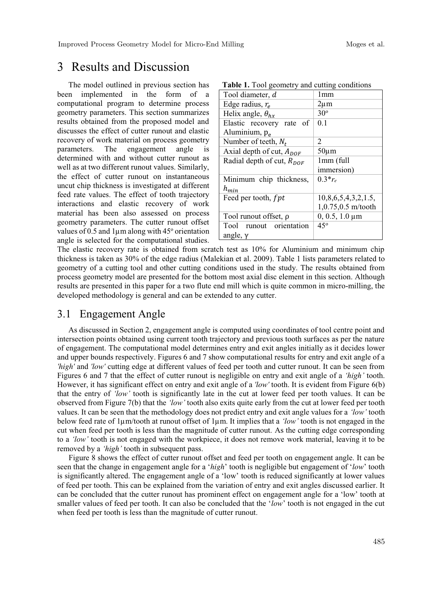# 3 Results and Discussion

The model outlined in previous section has been implemented in the form of a computational program to determine process geometry parameters. This section summarizes results obtained from the proposed model and discusses the effect of cutter runout and elastic recovery of work material on process geometry parameters. The engagement angle is determined with and without cutter runout as well as at two different runout values. Similarly, the effect of cutter runout on instantaneous uncut chip thickness is investigated at different feed rate values. The effect of tooth trajectory interactions and elastic recovery of work material has been also assessed on process geometry parameters. The cutter runout offset values of 0.5 and 1 $\mu$ m along with 45 $\degree$  orientation angle is selected for the computational studies.

| Tool diameter, d               | 1mm                   |  |  |
|--------------------------------|-----------------------|--|--|
| Edge radius, $r_e$             | $2 \mu m$             |  |  |
| Helix angle, $\theta_{hx}$     | $30^\circ$            |  |  |
| Elastic recovery rate of       | 0.1                   |  |  |
| Aluminium, pe                  |                       |  |  |
| Number of teeth, $N_t$         | $\mathfrak{D}$        |  |  |
| Axial depth of cut, $A_{DOF}$  | $50 \mu m$            |  |  |
| Radial depth of cut, $R_{DOF}$ | $1mm$ (full           |  |  |
|                                | <i>immersion</i> )    |  |  |
| Minimum chip thickness,        | $0.3 * r_a$           |  |  |
| $h_{min}$                      |                       |  |  |
| Feed per tooth, <i>fpt</i>     | 10,8,6,5,4,3,2,1.5    |  |  |
|                                | $1,0.75,0.5$ m/tooth  |  |  |
| Tool runout offset, ρ          | $0, 0.5, 1.0 \,\mu m$ |  |  |
| Tool runout<br>orientation     | $45^\circ$            |  |  |
| angle, $\gamma$                |                       |  |  |
|                                |                       |  |  |

**Table 1.** Tool geometry and cutting conditions

The elastic recovery rate is obtained from scratch test as 10% for Aluminium and minimum chip thickness is taken as 30% of the edge radius (Malekian et al. 2009). Table 1 lists parameters related to geometry of a cutting tool and other cutting conditions used in the study. The results obtained from process geometry model are presented for the bottom most axial disc element in this section. Although results are presented in this paper for a two flute end mill which is quite common in micro-milling, the developed methodology is general and can be extended to any cutter.

#### 3.1 Engagement Angle

As discussed in Section 2, engagement angle is computed using coordinates of tool centre point and intersection points obtained using current tooth trajectory and previous tooth surfaces as per the nature of engagement. The computational model determines entry and exit angles initially as it decides lower and upper bounds respectively. Figures 6 and 7 show computational results for entry and exit angle of a *'high'* and *'low'* cutting edge at different values of feed per tooth and cutter runout. It can be seen from Figures 6 and 7 that the effect of cutter runout is negligible on entry and exit angle of a *'high'* tooth. However, it has significant effect on entry and exit angle of a *'low'* tooth. It is evident from Figure 6(b) that the entry of *'low'* tooth is significantly late in the cut at lower feed per tooth values. It can be observed from Figure 7(b) that the *'low'* tooth also exits quite early from the cut at lower feed per tooth values. It can be seen that the methodology does not predict entry and exit angle values for a *'low'* tooth below feed rate of 1µm/tooth at runout offset of 1µm. It implies that a *'low'* tooth is not engaged in the cut when feed per tooth is less than the magnitude of cutter runout. As the cutting edge corresponding to a *'low'* tooth is not engaged with the workpiece, it does not remove work material, leaving it to be removed by a *'high'* tooth in subsequent pass.

Figure 8 shows the effect of cutter runout offset and feed per tooth on engagement angle. It can be seen that the change in engagement angle for a '*high*' tooth is negligible but engagement of '*low*' tooth is significantly altered. The engagement angle of a 'low' tooth is reduced significantly at lower values of feed per tooth. This can be explained from the variation of entry and exit angles discussed earlier. It can be concluded that the cutter runout has prominent effect on engagement angle for a 'low' tooth at smaller values of feed per tooth. It can also be concluded that the '*low*' tooth is not engaged in the cut when feed per tooth is less than the magnitude of cutter runout.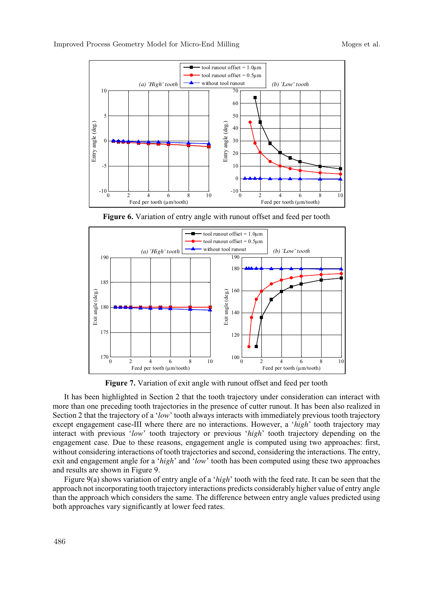

**Figure 6.** Variation of entry angle with runout offset and feed per tooth



**Figure 7.** Variation of exit angle with runout offset and feed per tooth

It has been highlighted in Section 2 that the tooth trajectory under consideration can interact with more than one preceding tooth trajectories in the presence of cutter runout. It has been also realized in Section 2 that the trajectory of a '*low*' tooth always interacts with immediately previous tooth trajectory except engagement case-III where there are no interactions. However, a '*high*' tooth trajectory may interact with previous '*low*' tooth trajectory or previous '*high*' tooth trajectory depending on the engagement case. Due to these reasons, engagement angle is computed using two approaches: first, without considering interactions of tooth trajectories and second, considering the interactions. The entry, exit and engagement angle for a '*high*' and '*low*' tooth has been computed using these two approaches and results are shown in Figure 9.

Figure 9(a) shows variation of entry angle of a '*high*' tooth with the feed rate. It can be seen that the approach not incorporating tooth trajectory interactions predicts considerably higher value of entry angle than the approach which considers the same. The difference between entry angle values predicted using both approaches vary significantly at lower feed rates.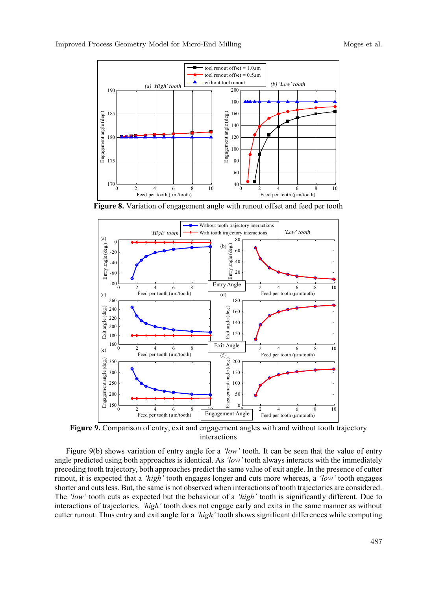

**Figure 8.** Variation of engagement angle with runout offset and feed per tooth



**Figure 9.** Comparison of entry, exit and engagement angles with and without tooth trajectory interactions

Figure 9(b) shows variation of entry angle for a *'low'* tooth. It can be seen that the value of entry angle predicted using both approaches is identical. As *'low'* tooth always interacts with the immediately preceding tooth trajectory, both approaches predict the same value of exit angle. In the presence of cutter runout, it is expected that a *'high'* tooth engages longer and cuts more whereas, a *'low'* tooth engages shorter and cuts less. But, the same is not observed when interactions of tooth trajectories are considered. The *'low'* tooth cuts as expected but the behaviour of a *'high'* tooth is significantly different. Due to interactions of trajectories, *'high'* tooth does not engage early and exits in the same manner as without cutter runout. Thus entry and exit angle for a *'high'* tooth shows significant differences while computing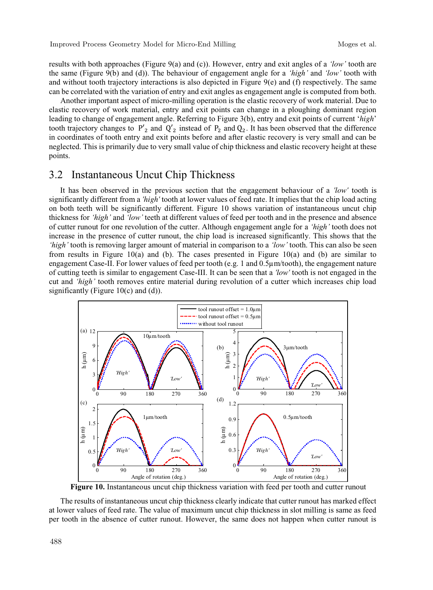results with both approaches (Figure 9(a) and (c)). However, entry and exit angles of a *'low'* tooth are the same (Figure 9(b) and (d)). The behaviour of engagement angle for a *'high'* and *'low'* tooth with and without tooth trajectory interactions is also depicted in Figure 9(e) and (f) respectively. The same can be correlated with the variation of entry and exit angles as engagement angle is computed from both.

Another important aspect of micro-milling operation is the elastic recovery of work material. Due to elastic recovery of work material, entry and exit points can change in a ploughing dominant region leading to change of engagement angle. Referring to Figure 3(b), entry and exit points of current '*high*' tooth trajectory changes to  $P'_{2}$  and  $Q'_{2}$  instead of  $P_{2}$  and  $Q_{2}$ . It has been observed that the difference in coordinates of tooth entry and exit points before and after elastic recovery is very small and can be neglected. This is primarily due to very small value of chip thickness and elastic recovery height at these points.

#### 3.2 Instantaneous Uncut Chip Thickness

It has been observed in the previous section that the engagement behaviour of a *'low'* tooth is significantly different from a *'high'* tooth at lower values of feed rate. It implies that the chip load acting on both teeth will be significantly different. Figure 10 shows variation of instantaneous uncut chip thickness for *'high'* and *'low'* teeth at different values of feed per tooth and in the presence and absence of cutter runout for one revolution of the cutter. Although engagement angle for a *'high'* tooth does not increase in the presence of cutter runout, the chip load is increased significantly. This shows that the *'high'* tooth is removing larger amount of material in comparison to a *'low'* tooth. This can also be seen from results in Figure 10(a) and (b). The cases presented in Figure 10(a) and (b) are similar to engagement Case-II. For lower values of feed per tooth (e.g. 1 and 0.5µm/tooth), the engagement nature of cutting teeth is similar to engagement Case-III. It can be seen that a *'low'* tooth is not engaged in the cut and *'high'* tooth removes entire material during revolution of a cutter which increases chip load significantly (Figure 10(c) and (d)).



**Figure 10.** Instantaneous uncut chip thickness variation with feed per tooth and cutter runout

The results of instantaneous uncut chip thickness clearly indicate that cutter runout has marked effect at lower values of feed rate. The value of maximum uncut chip thickness in slot milling is same as feed per tooth in the absence of cutter runout. However, the same does not happen when cutter runout is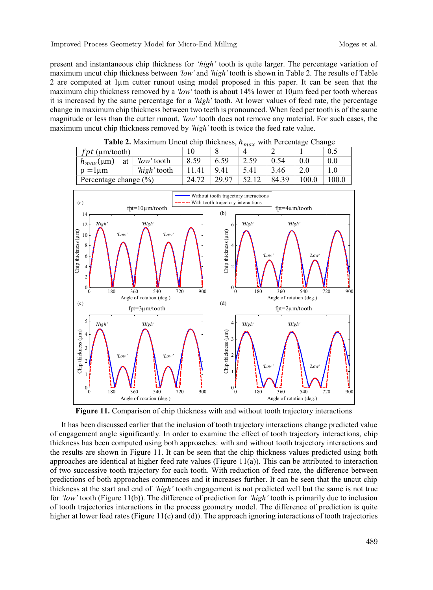'low' tooth

 $h_{max}(\mu m)$  $\rho = 1 \mu m$ 

present and instantaneous chip thickness for *'high'* tooth is quite larger. The percentage variation of maximum uncut chip thickness between *'low'* and *'high'* tooth is shown in Table 2. The results of Table 2 are computed at 1µm cutter runout using model proposed in this paper. It can be seen that the maximum chip thickness removed by a *'low'* tooth is about 14% lower at 10µm feed per tooth whereas it is increased by the same percentage for a *'high'* tooth. At lower values of feed rate, the percentage change in maximum chip thickness between two teeth is pronounced. When feed per tooth is of the same magnitude or less than the cutter runout, *'low'* tooth does not remove any material. For such cases, the maximum uncut chip thickness removed by *'high'* tooth is twice the feed rate value.

| Percentage change (%)                                                                                                                                 | 24.72      | 29.97                                                                       | 52.12  | 84.39                                     | 100.0        | 100.0      |
|-------------------------------------------------------------------------------------------------------------------------------------------------------|------------|-----------------------------------------------------------------------------|--------|-------------------------------------------|--------------|------------|
| (a)<br>fpt=10µm/tooth                                                                                                                                 |            | Without tooth trajectory interactions<br>With tooth trajectory interactions |        | fpt=4µm/tooth                             |              |            |
| 14<br>'High'<br>'High'<br>12                                                                                                                          |            | (b)<br>6                                                                    | 'High' | 'High'                                    |              |            |
| Chip thickness (µm)<br>Low'<br>'Low'<br>10<br>$\,$ 8 $\,$<br>6<br>4<br>$\overline{\mathbf{c}}$<br>$\mathbf{0}$<br>$\overline{0}$<br>180<br>360<br>540 | 720<br>900 | Chip thickness (µm)<br>$\mathbf{0}$<br>$\mathbf{0}$                         | 180    | 'Low<br>360                               | 'Low'<br>540 | 720<br>900 |
| Angle of rotation (deg.)<br>(c)<br>fpt=3µm/tooth                                                                                                      |            | (d)                                                                         |        | Angle of rotation (deg.)<br>fpt=2µm/tooth |              |            |
| 5<br>'High'<br>'High'                                                                                                                                 |            | 4                                                                           | 'High' | 'High'                                    |              |            |
| Chip thickness (µm)<br>'Low'<br>'Low<br>$\mathbf{0}$                                                                                                  |            | Chip thickness (µm)<br>3<br>$\bf{0}$                                        |        | 'Low                                      | 'Low         |            |
| 180<br>360<br>540<br>$\boldsymbol{0}$<br>Angle of rotation (deg.)                                                                                     | 900<br>720 | $\boldsymbol{0}$                                                            | 180    | 360<br>Angle of rotation (deg.)           | 540          | 900<br>720 |

**Table 2.** Maximum Uncut chip thickness, ݄௫ with Percentage Change

*'high'* tooth 11.41 9.41 5.41 3.46 2.0 1.0

 $fpt \ (\mu m/tooth)$  10 8 4 2 1 0.5<br>  $h_{max}(\mu m)$  at  $\frac{v}{w}$  tooth 8.59 6.59 2.59 0.54 0.0 0.0

Figure 11. Comparison of chip thickness with and without tooth trajectory interactions

It has been discussed earlier that the inclusion of tooth trajectory interactions change predicted value of engagement angle significantly. In order to examine the effect of tooth trajectory interactions, chip thickness has been computed using both approaches: with and without tooth trajectory interactions and the results are shown in Figure 11. It can be seen that the chip thickness values predicted using both approaches are identical at higher feed rate values (Figure 11(a)). This can be attributed to interaction of two successive tooth trajectory for each tooth. With reduction of feed rate, the difference between predictions of both approaches commences and it increases further. It can be seen that the uncut chip thickness at the start and end of *'high'* tooth engagement is not predicted well but the same is not true for *'low'* tooth (Figure 11(b)). The difference of prediction for *'high'* tooth is primarily due to inclusion of tooth trajectories interactions in the process geometry model. The difference of prediction is quite higher at lower feed rates (Figure 11(c) and (d)). The approach ignoring interactions of tooth trajectories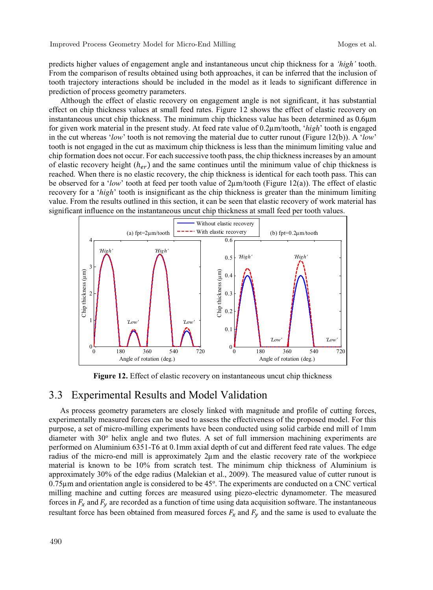predicts higher values of engagement angle and instantaneous uncut chip thickness for a *'high'* tooth. From the comparison of results obtained using both approaches, it can be inferred that the inclusion of tooth trajectory interactions should be included in the model as it leads to significant difference in prediction of process geometry parameters.

Although the effect of elastic recovery on engagement angle is not significant, it has substantial effect on chip thickness values at small feed rates. Figure 12 shows the effect of elastic recovery on instantaneous uncut chip thickness. The minimum chip thickness value has been determined as  $0.6\mu m$ for given work material in the present study. At feed rate value of 0.2µm/tooth, '*high*' tooth is engaged in the cut whereas '*low*' tooth is not removing the material due to cutter runout (Figure 12(b)). A '*low*' tooth is not engaged in the cut as maximum chip thickness is less than the minimum limiting value and chip formation does not occur. For each successive tooth pass, the chip thickness increases by an amount of elastic recovery height ( $h_{er}$ ) and the same continues until the minimum value of chip thickness is reached. When there is no elastic recovery, the chip thickness is identical for each tooth pass. This can be observed for a '*low*' tooth at feed per tooth value of 2µm/tooth (Figure 12(a)). The effect of elastic recovery for a '*high*' tooth is insignificant as the chip thickness is greater than the minimum limiting value. From the results outlined in this section, it can be seen that elastic recovery of work material has significant influence on the instantaneous uncut chip thickness at small feed per tooth values.



**Figure 12.** Effect of elastic recovery on instantaneous uncut chip thickness

#### 3.3 Experimental Results and Model Validation

As process geometry parameters are closely linked with magnitude and profile of cutting forces, experimentally measured forces can be used to assess the effectiveness of the proposed model. For this purpose, a set of micro-milling experiments have been conducted using solid carbide end mill of 1mm diameter with 30° helix angle and two flutes. A set of full immersion machining experiments are performed on Aluminium 6351-T6 at 0.1mm axial depth of cut and different feed rate values. The edge radius of the micro-end mill is approximately 2µm and the elastic recovery rate of the workpiece material is known to be 10% from scratch test. The minimum chip thickness of Aluminium is approximately 30% of the edge radius (Malekian et al., 2009). The measured value of cutter runout is 0.75µm and orientation angle is considered to be 45°. The experiments are conducted on a CNC vertical milling machine and cutting forces are measured using piezo-electric dynamometer. The measured forces in  $F_x$  and  $F_y$  are recorded as a function of time using data acquisition software. The instantaneous resultant force has been obtained from measured forces  $F_x$  and  $F_y$  and the same is used to evaluate the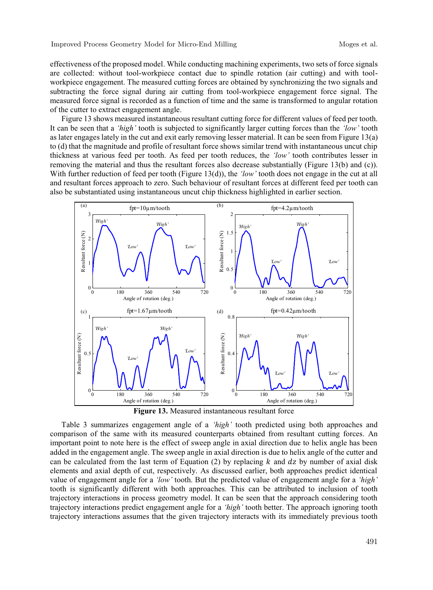effectiveness of the proposed model. While conducting machining experiments, two sets of force signals are collected: without tool-workpiece contact due to spindle rotation (air cutting) and with toolworkpiece engagement. The measured cutting forces are obtained by synchronizing the two signals and subtracting the force signal during air cutting from tool-workpiece engagement force signal. The measured force signal is recorded as a function of time and the same is transformed to angular rotation of the cutter to extract engagement angle.

Figure 13 shows measured instantaneous resultant cutting force for different values of feed per tooth. It can be seen that a *'high'* tooth is subjected to significantly larger cutting forces than the *'low'* tooth as later engages lately in the cut and exit early removing lesser material. It can be seen from Figure 13(a) to (d) that the magnitude and profile of resultant force shows similar trend with instantaneous uncut chip thickness at various feed per tooth. As feed per tooth reduces, the *'low'* tooth contributes lesser in removing the material and thus the resultant forces also decrease substantially (Figure 13(b) and (c)). With further reduction of feed per tooth (Figure 13(d)), the *'low'* tooth does not engage in the cut at all and resultant forces approach to zero. Such behaviour of resultant forces at different feed per tooth can also be substantiated using instantaneous uncut chip thickness highlighted in earlier section.



**Figure 13.** Measured instantaneous resultant force

Table 3 summarizes engagement angle of a *'high'* tooth predicted using both approaches and comparison of the same with its measured counterparts obtained from resultant cutting forces. An important point to note here is the effect of sweep angle in axial direction due to helix angle has been added in the engagement angle. The sweep angle in axial direction is due to helix angle of the cutter and can be calculated from the last term of Equation (2) by replacing  $k$  and  $dz$  by number of axial disk elements and axial depth of cut, respectively. As discussed earlier, both approaches predict identical value of engagement angle for a *'low'* tooth. But the predicted value of engagement angle for a *'high'* tooth is significantly different with both approaches. This can be attributed to inclusion of tooth trajectory interactions in process geometry model. It can be seen that the approach considering tooth trajectory interactions predict engagement angle for a *'high'* tooth better. The approach ignoring tooth trajectory interactions assumes that the given trajectory interacts with its immediately previous tooth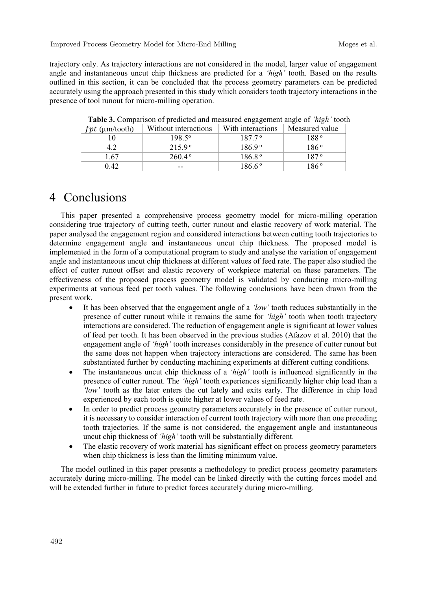trajectory only. As trajectory interactions are not considered in the model, larger value of engagement angle and instantaneous uncut chip thickness are predicted for a *'high'* tooth. Based on the results outlined in this section, it can be concluded that the process geometry parameters can be predicted accurately using the approach presented in this study which considers tooth trajectory interactions in the presence of tool runout for micro-milling operation.

|                  |                      | ິ                 |                |
|------------------|----------------------|-------------------|----------------|
| $fpt$ (µm/tooth) | Without interactions | With interactions | Measured value |
| 10               | $198.5^{\circ}$      | $187.7^{\circ}$   | 188°           |
| 4.2              | 215.9°               | 186.9°            | $186^{\circ}$  |
| 1.67             | $260.4^{\circ}$      | $186.8^{\circ}$   | 187°           |
| 0.42             | --                   | $186.6^{\circ}$   | $186^{\circ}$  |

**Table 3.** Comparison of predicted and measured engagement angle of *'high'* tooth

# 4 Conclusions

This paper presented a comprehensive process geometry model for micro-milling operation considering true trajectory of cutting teeth, cutter runout and elastic recovery of work material. The paper analysed the engagement region and considered interactions between cutting tooth trajectories to determine engagement angle and instantaneous uncut chip thickness. The proposed model is implemented in the form of a computational program to study and analyse the variation of engagement angle and instantaneous uncut chip thickness at different values of feed rate. The paper also studied the effect of cutter runout offset and elastic recovery of workpiece material on these parameters. The effectiveness of the proposed process geometry model is validated by conducting micro-milling experiments at various feed per tooth values. The following conclusions have been drawn from the present work.

- x It has been observed that the engagement angle of a *'low'* tooth reduces substantially in the presence of cutter runout while it remains the same for *'high'* tooth when tooth trajectory interactions are considered. The reduction of engagement angle is significant at lower values of feed per tooth. It has been observed in the previous studies (Afazov et al. 2010) that the engagement angle of *'high'* tooth increases considerably in the presence of cutter runout but the same does not happen when trajectory interactions are considered. The same has been substantiated further by conducting machining experiments at different cutting conditions.
- x The instantaneous uncut chip thickness of a *'high'* tooth is influenced significantly in the presence of cutter runout. The *'high'* tooth experiences significantly higher chip load than a *'low'* tooth as the later enters the cut lately and exits early. The difference in chip load experienced by each tooth is quite higher at lower values of feed rate.
- In order to predict process geometry parameters accurately in the presence of cutter runout, it is necessary to consider interaction of current tooth trajectory with more than one preceding tooth trajectories. If the same is not considered, the engagement angle and instantaneous uncut chip thickness of *'high'* tooth will be substantially different.
- The elastic recovery of work material has significant effect on process geometry parameters when chip thickness is less than the limiting minimum value.

The model outlined in this paper presents a methodology to predict process geometry parameters accurately during micro-milling. The model can be linked directly with the cutting forces model and will be extended further in future to predict forces accurately during micro-milling.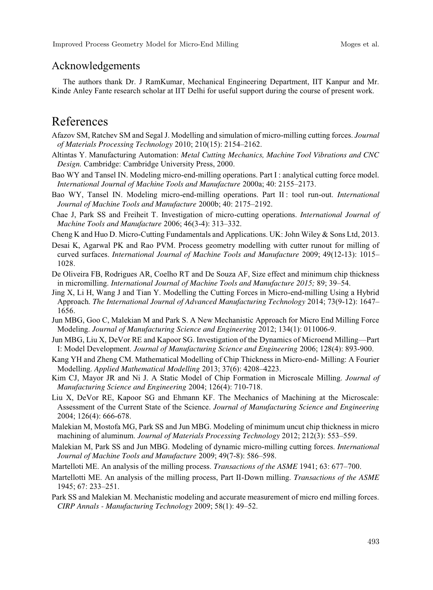#### Acknowledgements

The authors thank Dr. J RamKumar, Mechanical Engineering Department, IIT Kanpur and Mr. Kinde Anley Fante research scholar at IIT Delhi for useful support during the course of present work.

# References

- Afazov SM, Ratchev SM and Segal J. Modelling and simulation of micro-milling cutting forces. *Journal of Materials Processing Technology* 2010; 210(15): 2154–2162.
- Altintas Y. Manufacturing Automation: *Metal Cutting Mechanics, Machine Tool Vibrations and CNC Design.* Cambridge: Cambridge University Press, 2000.
- Bao WY and Tansel IN. Modeling micro-end-milling operations. Part I : analytical cutting force model. *International Journal of Machine Tools and Manufacture* 2000a; 40: 2155–2173.
- Bao WY, Tansel IN. Modeling micro-end-milling operations. Part II : tool run-out. *International Journal of Machine Tools and Manufacture* 2000b; 40: 2175–2192.
- Chae J, Park SS and Freiheit T. Investigation of micro-cutting operations. *International Journal of Machine Tools and Manufacture* 2006; 46(3-4): 313–332.
- Cheng K and Huo D. Micro-Cutting Fundamentals and Applications. UK: John Wiley & Sons Ltd, 2013.
- Desai K, Agarwal PK and Rao PVM. Process geometry modelling with cutter runout for milling of curved surfaces. *International Journal of Machine Tools and Manufacture* 2009; 49(12-13): 1015– 1028.
- De Oliveira FB, Rodrigues AR, Coelho RT and De Souza AF, Size effect and minimum chip thickness in micromilling. *International Journal of Machine Tools and Manufacture 2015;* 89; 39–54.
- Jing X, Li H, Wang J and Tian Y. Modelling the Cutting Forces in Micro-end-milling Using a Hybrid Approach. *The International Journal of Advanced Manufacturing Technology* 2014; 73(9-12): 1647– 1656.
- Jun MBG, Goo C, Malekian M and Park S. A New Mechanistic Approach for Micro End Milling Force Modeling. *Journal of Manufacturing Science and Engineering* 2012; 134(1): 011006-9.
- Jun MBG, Liu X, DeVor RE and Kapoor SG. Investigation of the Dynamics of Microend Milling—Part I: Model Development. *Journal of Manufacturing Science and Engineering* 2006; 128(4): 893-900.
- Kang YH and Zheng CM. Mathematical Modelling of Chip Thickness in Micro-end- Milling: A Fourier Modelling. *Applied Mathematical Modelling* 2013; 37(6): 4208–4223.
- Kim CJ, Mayor JR and Ni J. A Static Model of Chip Formation in Microscale Milling. *Journal of Manufacturing Science and Engineering* 2004; 126(4): 710-718.
- Liu X, DeVor RE, Kapoor SG and Ehmann KF. The Mechanics of Machining at the Microscale: Assessment of the Current State of the Science. *Journal of Manufacturing Science and Engineering* 2004; 126(4): 666-678.
- Malekian M, Mostofa MG, Park SS and Jun MBG. Modeling of minimum uncut chip thickness in micro machining of aluminum. *Journal of Materials Processing Technology* 2012; 212(3): 553–559.
- Malekian M, Park SS and Jun MBG. Modeling of dynamic micro-milling cutting forces. *International Journal of Machine Tools and Manufacture* 2009; 49(7-8): 586–598.
- Martelloti ME. An analysis of the milling process. *Transactions of the ASME* 1941; 63: 677–700.
- Martellotti ME. An analysis of the milling process, Part II-Down milling. *Transactions of the ASME* 1945; 67: 233–251.
- Park SS and Malekian M. Mechanistic modeling and accurate measurement of micro end milling forces. *CIRP Annals - Manufacturing Technology* 2009; 58(1): 49–52.